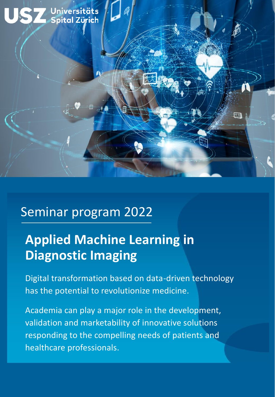

### Seminar program 2022

# **Applied Machine Learning in Diagnostic Imaging**

Digital transformation based on data-driven technology has the potential to revolutionize medicine.

Academia can play a major role in the development, validation and marketability of innovative solutions responding to the compelling needs of patients and healthcare professionals.